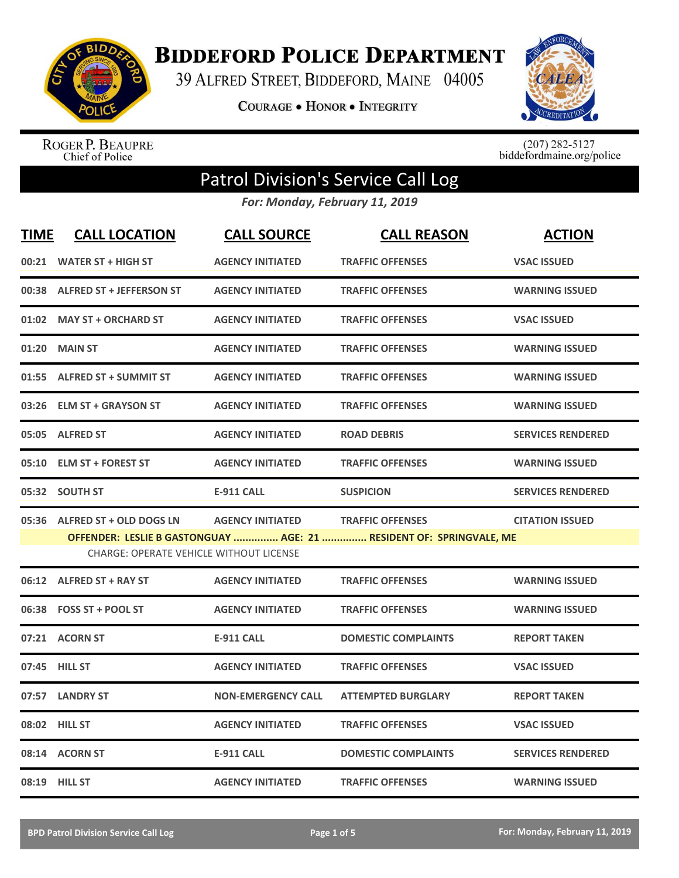

**BIDDEFORD POLICE DEPARTMENT** 

39 ALFRED STREET, BIDDEFORD, MAINE 04005

**COURAGE . HONOR . INTEGRITY** 



ROGER P. BEAUPRE<br>Chief of Police

 $(207)$  282-5127<br>biddefordmaine.org/police

## Patrol Division's Service Call Log

*For: Monday, February 11, 2019*

| <b>TIME</b> | <b>CALL LOCATION</b>                                                            | <b>CALL SOURCE</b>        | <b>CALL REASON</b>                                                                             | <b>ACTION</b>            |
|-------------|---------------------------------------------------------------------------------|---------------------------|------------------------------------------------------------------------------------------------|--------------------------|
|             | 00:21 WATER ST + HIGH ST                                                        | <b>AGENCY INITIATED</b>   | <b>TRAFFIC OFFENSES</b>                                                                        | <b>VSAC ISSUED</b>       |
|             | 00:38 ALFRED ST + JEFFERSON ST                                                  | <b>AGENCY INITIATED</b>   | <b>TRAFFIC OFFENSES</b>                                                                        | <b>WARNING ISSUED</b>    |
|             | 01:02 MAY ST + ORCHARD ST                                                       | <b>AGENCY INITIATED</b>   | <b>TRAFFIC OFFENSES</b>                                                                        | <b>VSAC ISSUED</b>       |
| 01:20       | <b>MAIN ST</b>                                                                  | <b>AGENCY INITIATED</b>   | <b>TRAFFIC OFFENSES</b>                                                                        | <b>WARNING ISSUED</b>    |
|             | 01:55 ALFRED ST + SUMMIT ST                                                     | <b>AGENCY INITIATED</b>   | <b>TRAFFIC OFFENSES</b>                                                                        | <b>WARNING ISSUED</b>    |
|             | 03:26 ELM ST + GRAYSON ST                                                       | <b>AGENCY INITIATED</b>   | <b>TRAFFIC OFFENSES</b>                                                                        | <b>WARNING ISSUED</b>    |
|             | 05:05 ALFRED ST                                                                 | <b>AGENCY INITIATED</b>   | <b>ROAD DEBRIS</b>                                                                             | <b>SERVICES RENDERED</b> |
|             | 05:10 ELM ST + FOREST ST                                                        | <b>AGENCY INITIATED</b>   | <b>TRAFFIC OFFENSES</b>                                                                        | <b>WARNING ISSUED</b>    |
|             | 05:32 SOUTH ST                                                                  | <b>E-911 CALL</b>         | <b>SUSPICION</b>                                                                               | <b>SERVICES RENDERED</b> |
|             | 05:36 ALFRED ST + OLD DOGS LN<br><b>CHARGE: OPERATE VEHICLE WITHOUT LICENSE</b> | <b>AGENCY INITIATED</b>   | <b>TRAFFIC OFFENSES</b><br>OFFENDER: LESLIE B GASTONGUAY  AGE: 21  RESIDENT OF: SPRINGVALE, ME | <b>CITATION ISSUED</b>   |
|             | 06:12 ALFRED ST + RAY ST                                                        | <b>AGENCY INITIATED</b>   | <b>TRAFFIC OFFENSES</b>                                                                        | <b>WARNING ISSUED</b>    |
|             | 06:38 FOSS ST + POOL ST                                                         | <b>AGENCY INITIATED</b>   | <b>TRAFFIC OFFENSES</b>                                                                        | <b>WARNING ISSUED</b>    |
|             | 07:21 ACORN ST                                                                  | <b>E-911 CALL</b>         | <b>DOMESTIC COMPLAINTS</b>                                                                     | <b>REPORT TAKEN</b>      |
|             | 07:45 HILL ST                                                                   | <b>AGENCY INITIATED</b>   | <b>TRAFFIC OFFENSES</b>                                                                        | <b>VSAC ISSUED</b>       |
|             | 07:57 LANDRY ST                                                                 | <b>NON-EMERGENCY CALL</b> | <b>ATTEMPTED BURGLARY</b>                                                                      | <b>REPORT TAKEN</b>      |
|             | 08:02 HILL ST                                                                   | <b>AGENCY INITIATED</b>   | <b>TRAFFIC OFFENSES</b>                                                                        | <b>VSAC ISSUED</b>       |
|             | 08:14 ACORN ST                                                                  | <b>E-911 CALL</b>         | <b>DOMESTIC COMPLAINTS</b>                                                                     | <b>SERVICES RENDERED</b> |
|             | 08:19 HILL ST                                                                   | <b>AGENCY INITIATED</b>   | <b>TRAFFIC OFFENSES</b>                                                                        | <b>WARNING ISSUED</b>    |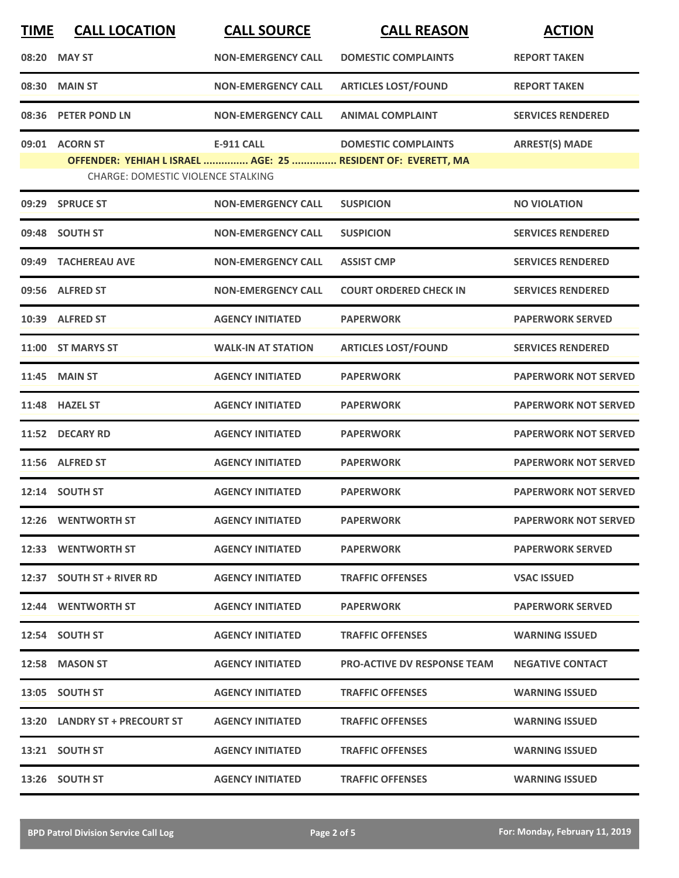| <b>TIME</b> | <b>CALL LOCATION</b>                      | <b>CALL SOURCE</b>        | <b>CALL REASON</b>                                           | <b>ACTION</b>               |
|-------------|-------------------------------------------|---------------------------|--------------------------------------------------------------|-----------------------------|
|             | 08:20 MAY ST                              | <b>NON-EMERGENCY CALL</b> | <b>DOMESTIC COMPLAINTS</b>                                   | <b>REPORT TAKEN</b>         |
| 08:30       | <b>MAIN ST</b>                            | <b>NON-EMERGENCY CALL</b> | <b>ARTICLES LOST/FOUND</b>                                   | <b>REPORT TAKEN</b>         |
|             | 08:36 PETER POND LN                       | <b>NON-EMERGENCY CALL</b> | <b>ANIMAL COMPLAINT</b>                                      | <b>SERVICES RENDERED</b>    |
|             | 09:01 ACORN ST                            | <b>E-911 CALL</b>         | <b>DOMESTIC COMPLAINTS</b>                                   | <b>ARREST(S) MADE</b>       |
|             | <b>CHARGE: DOMESTIC VIOLENCE STALKING</b> |                           | OFFENDER: YEHIAH L ISRAEL  AGE: 25  RESIDENT OF: EVERETT, MA |                             |
| 09:29       | <b>SPRUCE ST</b>                          | <b>NON-EMERGENCY CALL</b> | <b>SUSPICION</b>                                             | <b>NO VIOLATION</b>         |
|             | 09:48 SOUTH ST                            | <b>NON-EMERGENCY CALL</b> | <b>SUSPICION</b>                                             | <b>SERVICES RENDERED</b>    |
| 09:49       | <b>TACHEREAU AVE</b>                      | <b>NON-EMERGENCY CALL</b> | <b>ASSIST CMP</b>                                            | <b>SERVICES RENDERED</b>    |
|             | 09:56 ALFRED ST                           | <b>NON-EMERGENCY CALL</b> | <b>COURT ORDERED CHECK IN</b>                                | <b>SERVICES RENDERED</b>    |
|             | 10:39 ALFRED ST                           | <b>AGENCY INITIATED</b>   | <b>PAPERWORK</b>                                             | <b>PAPERWORK SERVED</b>     |
|             | 11:00 ST MARYS ST                         | <b>WALK-IN AT STATION</b> | <b>ARTICLES LOST/FOUND</b>                                   | <b>SERVICES RENDERED</b>    |
| 11:45       | <b>MAIN ST</b>                            | <b>AGENCY INITIATED</b>   | <b>PAPERWORK</b>                                             | <b>PAPERWORK NOT SERVED</b> |
|             | 11:48 HAZEL ST                            | <b>AGENCY INITIATED</b>   | <b>PAPERWORK</b>                                             | <b>PAPERWORK NOT SERVED</b> |
| 11:52       | <b>DECARY RD</b>                          | <b>AGENCY INITIATED</b>   | <b>PAPERWORK</b>                                             | <b>PAPERWORK NOT SERVED</b> |
|             | 11:56 ALFRED ST                           | <b>AGENCY INITIATED</b>   | <b>PAPERWORK</b>                                             | <b>PAPERWORK NOT SERVED</b> |
|             | 12:14 SOUTH ST                            | <b>AGENCY INITIATED</b>   | <b>PAPERWORK</b>                                             | <b>PAPERWORK NOT SERVED</b> |
|             | 12:26 WENTWORTH ST                        | <b>AGENCY INITIATED</b>   | <b>PAPERWORK</b>                                             | <b>PAPERWORK NOT SERVED</b> |
|             | 12:33 WENTWORTH ST                        | <b>AGENCY INITIATED</b>   | <b>PAPERWORK</b>                                             | <b>PAPERWORK SERVED</b>     |
|             | 12:37 SOUTH ST + RIVER RD                 | <b>AGENCY INITIATED</b>   | <b>TRAFFIC OFFENSES</b>                                      | <b>VSAC ISSUED</b>          |
|             | 12:44 WENTWORTH ST                        | <b>AGENCY INITIATED</b>   | <b>PAPERWORK</b>                                             | <b>PAPERWORK SERVED</b>     |
|             | 12:54 SOUTH ST                            | <b>AGENCY INITIATED</b>   | <b>TRAFFIC OFFENSES</b>                                      | <b>WARNING ISSUED</b>       |
|             | 12:58 MASON ST                            | <b>AGENCY INITIATED</b>   | <b>PRO-ACTIVE DV RESPONSE TEAM</b>                           | <b>NEGATIVE CONTACT</b>     |
|             | 13:05 SOUTH ST                            | <b>AGENCY INITIATED</b>   | <b>TRAFFIC OFFENSES</b>                                      | <b>WARNING ISSUED</b>       |
|             | 13:20 LANDRY ST + PRECOURT ST             | <b>AGENCY INITIATED</b>   | <b>TRAFFIC OFFENSES</b>                                      | <b>WARNING ISSUED</b>       |
|             | 13:21 SOUTH ST                            | <b>AGENCY INITIATED</b>   | <b>TRAFFIC OFFENSES</b>                                      | <b>WARNING ISSUED</b>       |
|             | 13:26 SOUTH ST                            | <b>AGENCY INITIATED</b>   | <b>TRAFFIC OFFENSES</b>                                      | <b>WARNING ISSUED</b>       |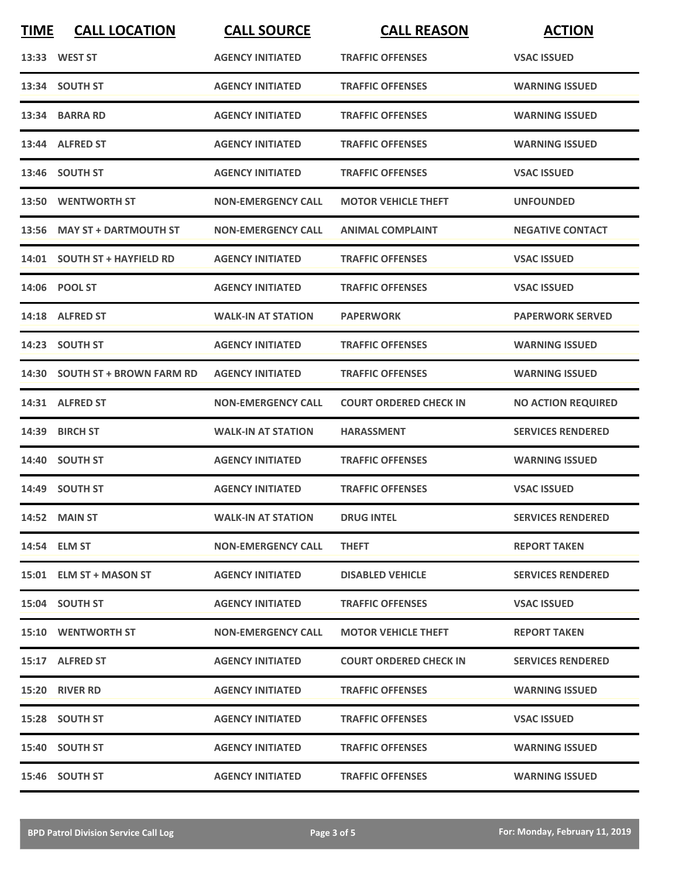| <b>TIME</b> | <b>CALL LOCATION</b>           | <b>CALL SOURCE</b>        | <b>CALL REASON</b>            | <b>ACTION</b>             |
|-------------|--------------------------------|---------------------------|-------------------------------|---------------------------|
|             | 13:33 WEST ST                  | <b>AGENCY INITIATED</b>   | <b>TRAFFIC OFFENSES</b>       | <b>VSAC ISSUED</b>        |
|             | 13:34 SOUTH ST                 | <b>AGENCY INITIATED</b>   | <b>TRAFFIC OFFENSES</b>       | <b>WARNING ISSUED</b>     |
|             | 13:34 BARRA RD                 | <b>AGENCY INITIATED</b>   | <b>TRAFFIC OFFENSES</b>       | <b>WARNING ISSUED</b>     |
|             | 13:44 ALFRED ST                | <b>AGENCY INITIATED</b>   | <b>TRAFFIC OFFENSES</b>       | <b>WARNING ISSUED</b>     |
|             | 13:46 SOUTH ST                 | <b>AGENCY INITIATED</b>   | <b>TRAFFIC OFFENSES</b>       | <b>VSAC ISSUED</b>        |
|             | 13:50 WENTWORTH ST             | <b>NON-EMERGENCY CALL</b> | <b>MOTOR VEHICLE THEFT</b>    | <b>UNFOUNDED</b>          |
| 13:56       | <b>MAY ST + DARTMOUTH ST</b>   | <b>NON-EMERGENCY CALL</b> | <b>ANIMAL COMPLAINT</b>       | <b>NEGATIVE CONTACT</b>   |
|             | 14:01 SOUTH ST + HAYFIELD RD   | <b>AGENCY INITIATED</b>   | <b>TRAFFIC OFFENSES</b>       | <b>VSAC ISSUED</b>        |
|             | 14:06 POOL ST                  | <b>AGENCY INITIATED</b>   | <b>TRAFFIC OFFENSES</b>       | <b>VSAC ISSUED</b>        |
|             | 14:18 ALFRED ST                | <b>WALK-IN AT STATION</b> | <b>PAPERWORK</b>              | <b>PAPERWORK SERVED</b>   |
|             | 14:23 SOUTH ST                 | <b>AGENCY INITIATED</b>   | <b>TRAFFIC OFFENSES</b>       | <b>WARNING ISSUED</b>     |
|             | 14:30 SOUTH ST + BROWN FARM RD | <b>AGENCY INITIATED</b>   | <b>TRAFFIC OFFENSES</b>       | <b>WARNING ISSUED</b>     |
|             | 14:31 ALFRED ST                | <b>NON-EMERGENCY CALL</b> | <b>COURT ORDERED CHECK IN</b> | <b>NO ACTION REQUIRED</b> |
| 14:39       | <b>BIRCH ST</b>                | <b>WALK-IN AT STATION</b> | <b>HARASSMENT</b>             | <b>SERVICES RENDERED</b>  |
|             | 14:40 SOUTH ST                 | <b>AGENCY INITIATED</b>   | <b>TRAFFIC OFFENSES</b>       | <b>WARNING ISSUED</b>     |
|             | 14:49 SOUTH ST                 | <b>AGENCY INITIATED</b>   | <b>TRAFFIC OFFENSES</b>       | <b>VSAC ISSUED</b>        |
|             | 14:52 MAIN ST                  | <b>WALK-IN AT STATION</b> | <b>DRUG INTEL</b>             | <b>SERVICES RENDERED</b>  |
|             | 14:54 ELM ST                   | <b>NON-EMERGENCY CALL</b> | <b>THEFT</b>                  | <b>REPORT TAKEN</b>       |
|             | 15:01 ELM ST + MASON ST        | <b>AGENCY INITIATED</b>   | <b>DISABLED VEHICLE</b>       | <b>SERVICES RENDERED</b>  |
|             | 15:04 SOUTH ST                 | <b>AGENCY INITIATED</b>   | <b>TRAFFIC OFFENSES</b>       | <b>VSAC ISSUED</b>        |
|             | <b>15:10 WENTWORTH ST</b>      | <b>NON-EMERGENCY CALL</b> | <b>MOTOR VEHICLE THEFT</b>    | <b>REPORT TAKEN</b>       |
|             | 15:17 ALFRED ST                | <b>AGENCY INITIATED</b>   | <b>COURT ORDERED CHECK IN</b> | <b>SERVICES RENDERED</b>  |
|             | 15:20 RIVER RD                 | <b>AGENCY INITIATED</b>   | <b>TRAFFIC OFFENSES</b>       | <b>WARNING ISSUED</b>     |
|             | 15:28 SOUTH ST                 | <b>AGENCY INITIATED</b>   | <b>TRAFFIC OFFENSES</b>       | <b>VSAC ISSUED</b>        |
|             | 15:40 SOUTH ST                 | <b>AGENCY INITIATED</b>   | <b>TRAFFIC OFFENSES</b>       | <b>WARNING ISSUED</b>     |
|             | 15:46 SOUTH ST                 | <b>AGENCY INITIATED</b>   | <b>TRAFFIC OFFENSES</b>       | <b>WARNING ISSUED</b>     |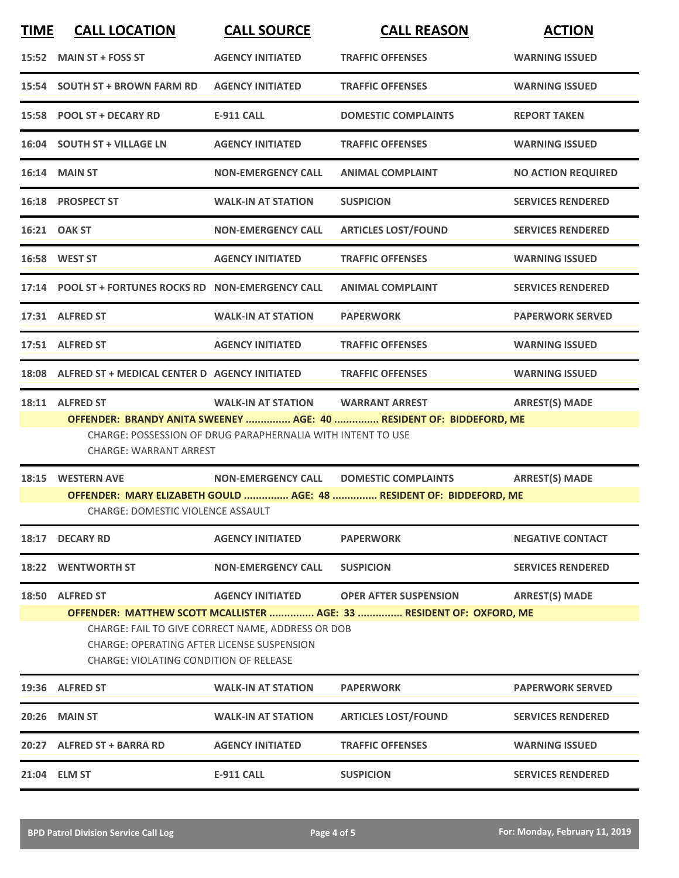| <b>TIME</b> | <b>CALL LOCATION</b>                                                                                                                                                                                                            | <b>CALL SOURCE</b>                                          | <b>CALL REASON</b>                                                  | <b>ACTION</b>             |  |
|-------------|---------------------------------------------------------------------------------------------------------------------------------------------------------------------------------------------------------------------------------|-------------------------------------------------------------|---------------------------------------------------------------------|---------------------------|--|
|             | 15:52 MAIN ST + FOSS ST                                                                                                                                                                                                         | <b>AGENCY INITIATED</b>                                     | <b>TRAFFIC OFFENSES</b>                                             | <b>WARNING ISSUED</b>     |  |
|             | 15:54 SOUTH ST + BROWN FARM RD                                                                                                                                                                                                  | <b>AGENCY INITIATED</b>                                     | <b>TRAFFIC OFFENSES</b>                                             | <b>WARNING ISSUED</b>     |  |
|             | 15:58 POOL ST + DECARY RD                                                                                                                                                                                                       | <b>E-911 CALL</b>                                           | <b>DOMESTIC COMPLAINTS</b>                                          | <b>REPORT TAKEN</b>       |  |
|             | 16:04 SOUTH ST + VILLAGE LN                                                                                                                                                                                                     | <b>AGENCY INITIATED</b>                                     | <b>TRAFFIC OFFENSES</b>                                             | <b>WARNING ISSUED</b>     |  |
|             | <b>16:14 MAIN ST</b>                                                                                                                                                                                                            | <b>NON-EMERGENCY CALL</b>                                   | <b>ANIMAL COMPLAINT</b>                                             | <b>NO ACTION REQUIRED</b> |  |
|             | 16:18 PROSPECT ST                                                                                                                                                                                                               | <b>WALK-IN AT STATION</b>                                   | <b>SUSPICION</b>                                                    | <b>SERVICES RENDERED</b>  |  |
|             | 16:21 OAK ST                                                                                                                                                                                                                    | <b>NON-EMERGENCY CALL</b>                                   | <b>ARTICLES LOST/FOUND</b>                                          | <b>SERVICES RENDERED</b>  |  |
|             | 16:58 WEST ST                                                                                                                                                                                                                   | <b>AGENCY INITIATED</b>                                     | <b>TRAFFIC OFFENSES</b>                                             | <b>WARNING ISSUED</b>     |  |
|             | 17:14 POOL ST + FORTUNES ROCKS RD NON-EMERGENCY CALL                                                                                                                                                                            |                                                             | <b>ANIMAL COMPLAINT</b>                                             | <b>SERVICES RENDERED</b>  |  |
|             | 17:31 ALFRED ST                                                                                                                                                                                                                 | <b>WALK-IN AT STATION</b>                                   | <b>PAPERWORK</b>                                                    | <b>PAPERWORK SERVED</b>   |  |
|             | 17:51 ALFRED ST                                                                                                                                                                                                                 | <b>AGENCY INITIATED</b>                                     | <b>TRAFFIC OFFENSES</b>                                             | <b>WARNING ISSUED</b>     |  |
|             | 18:08 ALFRED ST + MEDICAL CENTER D AGENCY INITIATED                                                                                                                                                                             |                                                             | <b>TRAFFIC OFFENSES</b>                                             | <b>WARNING ISSUED</b>     |  |
|             | 18:11 ALFRED ST                                                                                                                                                                                                                 | <b>WALK-IN AT STATION</b>                                   | <b>WARRANT ARREST</b>                                               | <b>ARREST(S) MADE</b>     |  |
|             | CHARGE: WARRANT ARREST                                                                                                                                                                                                          | CHARGE: POSSESSION OF DRUG PARAPHERNALIA WITH INTENT TO USE | OFFENDER: BRANDY ANITA SWEENEY  AGE: 40  RESIDENT OF: BIDDEFORD, ME |                           |  |
|             | 18:15 WESTERN AVE<br><b>CHARGE: DOMESTIC VIOLENCE ASSAULT</b>                                                                                                                                                                   | NON-EMERGENCY CALL DOMESTIC COMPLAINTS                      | OFFENDER: MARY ELIZABETH GOULD  AGE: 48  RESIDENT OF: BIDDEFORD, ME | <b>ARREST(S) MADE</b>     |  |
| 18:17       | <b>DECARY RD</b>                                                                                                                                                                                                                | <b>AGENCY INITIATED</b>                                     | <b>PAPERWORK</b>                                                    | <b>NEGATIVE CONTACT</b>   |  |
| 18:22       | <b>WENTWORTH ST</b>                                                                                                                                                                                                             | <b>NON-EMERGENCY CALL</b>                                   | <b>SUSPICION</b>                                                    | <b>SERVICES RENDERED</b>  |  |
| 18:50       | <b>ALFRED ST</b>                                                                                                                                                                                                                | <b>AGENCY INITIATED</b>                                     | <b>OPER AFTER SUSPENSION</b>                                        | <b>ARREST(S) MADE</b>     |  |
|             | OFFENDER: MATTHEW SCOTT MCALLISTER  AGE: 33  RESIDENT OF: OXFORD, ME<br>CHARGE: FAIL TO GIVE CORRECT NAME, ADDRESS OR DOB<br><b>CHARGE: OPERATING AFTER LICENSE SUSPENSION</b><br><b>CHARGE: VIOLATING CONDITION OF RELEASE</b> |                                                             |                                                                     |                           |  |
|             | 19:36 ALFRED ST                                                                                                                                                                                                                 | <b>WALK-IN AT STATION</b>                                   | <b>PAPERWORK</b>                                                    | <b>PAPERWORK SERVED</b>   |  |
| 20:26       | <b>MAIN ST</b>                                                                                                                                                                                                                  | <b>WALK-IN AT STATION</b>                                   | <b>ARTICLES LOST/FOUND</b>                                          | <b>SERVICES RENDERED</b>  |  |
|             | 20:27 ALFRED ST + BARRA RD                                                                                                                                                                                                      | <b>AGENCY INITIATED</b>                                     | <b>TRAFFIC OFFENSES</b>                                             | <b>WARNING ISSUED</b>     |  |
|             | 21:04 ELM ST                                                                                                                                                                                                                    | <b>E-911 CALL</b>                                           | <b>SUSPICION</b>                                                    | <b>SERVICES RENDERED</b>  |  |